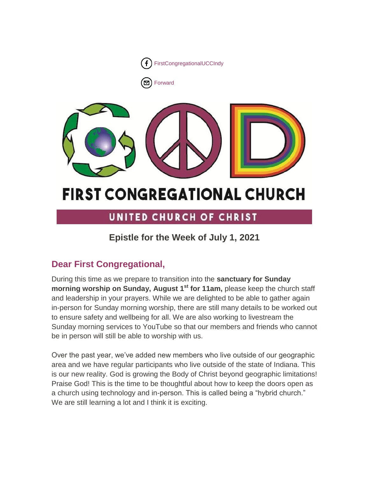

[Forward](http://us16.forward-to-friend.com/forward?u=7a2e4c501545b6d78729a64a1&id=4dd38495ed&e=%5bUNIQID%5d)



# **FIRST CONGREGATIONAL CHURCH**

# UNITED CHURCH OF CHRIST

# **Epistle for the Week of July 1, 2021**

# **Dear First Congregational,**

During this time as we prepare to transition into the **sanctuary for Sunday morning worship on Sunday, August 1st for 11am,** please keep the church staff and leadership in your prayers. While we are delighted to be able to gather again in-person for Sunday morning worship, there are still many details to be worked out to ensure safety and wellbeing for all. We are also working to livestream the Sunday morning services to YouTube so that our members and friends who cannot be in person will still be able to worship with us.

Over the past year, we've added new members who live outside of our geographic area and we have regular participants who live outside of the state of Indiana. This is our new reality. God is growing the Body of Christ beyond geographic limitations! Praise God! This is the time to be thoughtful about how to keep the doors open as a church using technology and in-person. This is called being a "hybrid church." We are still learning a lot and I think it is exciting.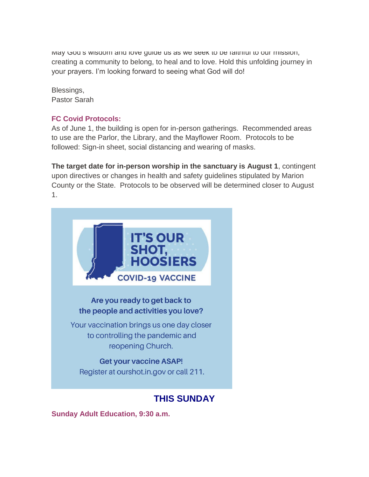way God's wisdom and love guide us as we seek to be faithful to our mission, creating a community to belong, to heal and to love. Hold this unfolding journey in your prayers. I'm looking forward to seeing what God will do!

Blessings, Pastor Sarah

# **FC Covid Protocols:**

As of June 1, the building is open for in-person gatherings. Recommended areas to use are the Parlor, the Library, and the Mayflower Room. Protocols to be followed: Sign-in sheet, social distancing and wearing of masks.

**The target date for in-person worship in the sanctuary is August 1**, contingent upon directives or changes in health and safety guidelines stipulated by Marion County or the State. Protocols to be observed will be determined closer to August 1.

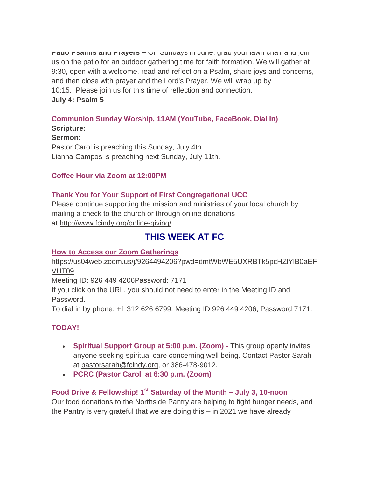**Patio Psalms and Prayers –** On Sundays in June, grab your lawn chair and join us on the patio for an outdoor gathering time for faith formation. We will gather at 9:30, open with a welcome, read and reflect on a Psalm, share joys and concerns, and then close with prayer and the Lord's Prayer. We will wrap up by 10:15. Please join us for this time of reflection and connection. **July 4: Psalm 5**

#### **Communion Sunday Worship, 11AM (YouTube, FaceBook, Dial In) Scripture:**

# **Sermon:**

Pastor Carol is preaching this Sunday, July 4th. Lianna Campos is preaching next Sunday, July 11th.

# **Coffee Hour via Zoom at 12:00PM**

# **Thank You for Your Support of First Congregational UCC**

Please continue supporting the mission and ministries of your local church by mailing a check to the church or through online donations at <http://www.fcindy.org/online-giving/>

# **THIS WEEK AT FC**

# **How to Access our Zoom Gatherings**

[https://us04web.zoom.us/j/9264494206?pwd=dmtWbWE5UXRBTk5pcHZlYlB0aEF](https://us04web.zoom.us/j/9264494206?pwd=dmtWbWE5UXRBTk5pcHZlYlB0aEFVUT09) [VUT09](https://us04web.zoom.us/j/9264494206?pwd=dmtWbWE5UXRBTk5pcHZlYlB0aEFVUT09)

Meeting ID: 926 449 4206Password: 7171

If you click on the URL, you should not need to enter in the Meeting ID and Password.

To dial in by phone: +1 312 626 6799, Meeting ID 926 449 4206, Password 7171.

# **TODAY!**

- **Spiritual Support Group at 5:00 p.m. (Zoom) -** This group openly invites anyone seeking spiritual care concerning well being. Contact Pastor Sarah at [pastorsarah@fcindy.org,](mailto:pastorsarah@fcindy.org) or 386-478-9012.
- **PCRC (Pastor Carol at 6:30 p.m. (Zoom)**

# **Food Drive & Fellowship! 1st Saturday of the Month – July 3, 10-noon**

Our food donations to the Northside Pantry are helping to fight hunger needs, and the Pantry is very grateful that we are doing this – in 2021 we have already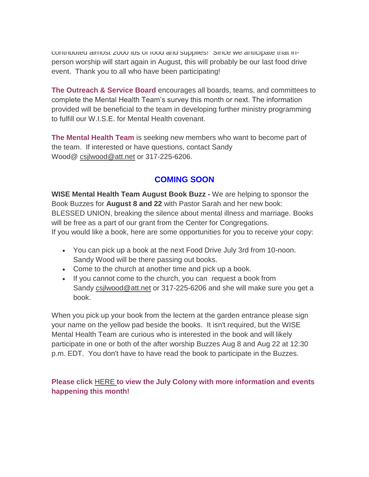contributed almost 2000 lbs of food and supplies! Since we anticipate that inperson worship will start again in August, this will probably be our last food drive event. Thank you to all who have been participating!

**The Outreach & Service Board** encourages all boards, teams, and committees to complete the Mental Health Team's survey this month or next. The information provided will be beneficial to the team in developing further ministry programming to fulfill our W.I.S.E. for Mental Health covenant.

**The Mental Health Team** is seeking new members who want to become part of the team. If interested or have questions, contact Sandy Wood@ [csjlwood@att.net](mailto:csjlwood@att.net) or 317-225-6206.

# **COMING SOON**

**WISE Mental Health Team August Book Buzz -** We are helping to sponsor the Book Buzzes for **August 8 and 22** with Pastor Sarah and her new book: BLESSED UNION, breaking the silence about mental illness and marriage. Books will be free as a part of our grant from the Center for Congregations. If you would like a book, here are some opportunities for you to receive your copy:

- You can pick up a book at the next Food Drive July 3rd from 10-noon. Sandy Wood will be there passing out books.
- Come to the church at another time and pick up a book.
- If you cannot come to the church, you can request a book from Sandy [csjlwood@att.net](mailto:csjlwood@att.net) or 317-225-6206 and she will make sure you get a book.

When you pick up your book from the lectern at the garden entrance please sign your name on the yellow pad beside the books. It isn't required, but the WISE Mental Health Team are curious who is interested in the book and will likely participate in one or both of the after worship Buzzes Aug 8 and Aug 22 at 12:30 p.m. EDT. You don't have to have read the book to participate in the Buzzes.

# **Please click** [HERE](https://mcusercontent.com/7a2e4c501545b6d78729a64a1/files/d48f69d7-e688-a3ac-b0c2-00c4dfd79cda/June_Colony_2021.01.pdf) **to view the July Colony with more information and events happening this month!**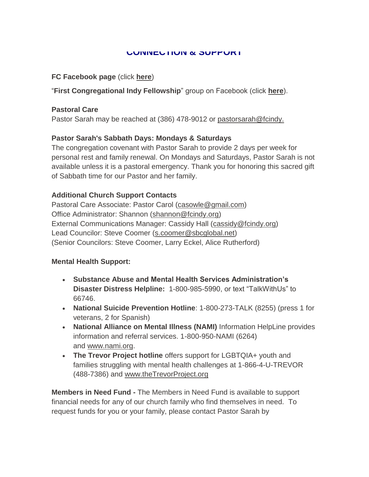#### **CONNECTION & SUPPORT**

#### **FC Facebook page** (click **[here](https://www.facebook.com/FirstCongregationalUCCIndy/)**)

"**First Congregational Indy Fellowship**" group on Facebook (click **[here](https://www.facebook.com/groups/521333455186422/)**).

#### **Pastoral Care**

Pastor Sarah may be reached at (386) 478-9012 or [pastorsarah@fcindy.](mailto:pastorsarah@fcindy.org)

# **Pastor Sarah's Sabbath Days: Mondays & Saturdays**

The congregation covenant with Pastor Sarah to provide 2 days per week for personal rest and family renewal. On Mondays and Saturdays, Pastor Sarah is not available unless it is a pastoral emergency. Thank you for honoring this sacred gift of Sabbath time for our Pastor and her family.

# **Additional Church Support Contacts**

Pastoral Care Associate: Pastor Carol [\(casowle@gmail.com\)](mailto:casowle@gmail.com) Office Administrator: Shannon [\(shannon@fcindy.org\)](mailto:shannon@fcindy.org) External Communications Manager: Cassidy Hall [\(cassidy@fcindy.org\)](mailto:cassidy@fcindy.org) Lead Councilor: Steve Coomer [\(s.coomer@sbcglobal.net\)](mailto:s.coomer@sbcglobal.net) (Senior Councilors: Steve Coomer, Larry Eckel, Alice Rutherford)

#### **Mental Health Support:**

- **Substance Abuse and Mental Health Services Administration's Disaster Distress Helpline:** 1-800-985-5990, or text "TalkWithUs" to 66746.
- **National Suicide Prevention Hotline**: 1-800-273-TALK (8255) (press 1 for veterans, 2 for Spanish)
- **National Alliance on Mental Illness (NAMI)** Information HelpLine provides information and referral services. 1-800-950-NAMI (6264) and [www.nami.org.](http://www.nami.org/)
- **The Trevor Project hotline** offers support for LGBTQIA+ youth and families struggling with mental health challenges at 1-866-4-U-TREVOR (488-7386) and [www.theTrevorProject.org](http://www.thetrevorproject.org/)

**Members in Need Fund -** The Members in Need Fund is available to support financial needs for any of our church family who find themselves in need. To request funds for you or your family, please contact Pastor Sarah by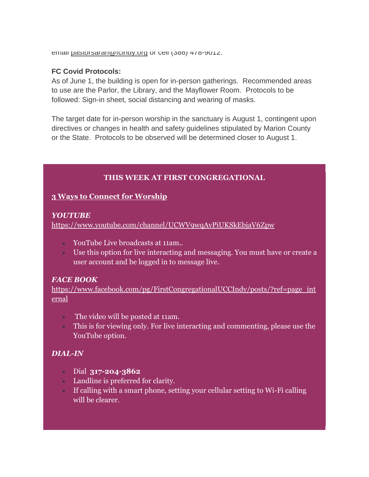email pastorsaran@rcindy.org or cell (386) 478-9012.

#### **FC Covid Protocols:**

As of June 1, the building is open for in-person gatherings. Recommended areas to use are the Parlor, the Library, and the Mayflower Room. Protocols to be followed: Sign-in sheet, social distancing and wearing of masks.

The target date for in-person worship in the sanctuary is August 1, contingent upon directives or changes in health and safety guidelines stipulated by Marion County or the State. Protocols to be observed will be determined closer to August 1.

# **THIS WEEK AT FIRST CONGREGATIONAL**

# **3 Ways to Connect for Worship**

#### *YOUTUBE*

<https://www.youtube.com/channel/UCWV9wqAvPiUKSkEbjaV6Zpw>

- YouTube Live broadcasts at 11am..
- Use this option for live interacting and messaging. You must have or create a user account and be logged in to message live.

# *FACE BOOK*

[https://www.facebook.com/pg/FirstCongregationalUCCIndy/posts/?ref=page\\_int](https://www.facebook.com/pg/FirstCongregationalUCCIndy/posts/?ref=page_internal) [ernal](https://www.facebook.com/pg/FirstCongregationalUCCIndy/posts/?ref=page_internal)

- The video will be posted at 11am.
- This is for viewing only. For live interacting and commenting, please use the YouTube option.

# *DIAL-IN*

- Dial **317-204-3862**
- Landline is preferred for clarity.
- If calling with a smart phone, setting your cellular setting to Wi-Fi calling will be clearer.